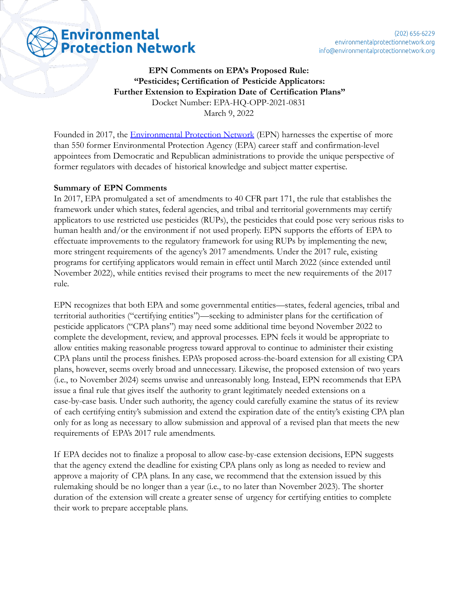# **Environmental Protection Network**

**EPN Comments on EPA's Proposed Rule: "Pesticides; Certification of Pesticide Applicators: Further Extension to Expiration Date of Certification Plans"** Docket Number: EPA-HQ-OPP-2021-0831 March 9, 2022

Founded in 2017, the **[Environmental Protection Network](https://www.environmentalprotectionnetwork.org/)** (EPN) harnesses the expertise of more than 550 former Environmental Protection Agency (EPA) career staff and confirmation-level appointees from Democratic and Republican administrations to provide the unique perspective of former regulators with decades of historical knowledge and subject matter expertise.

## **Summary of EPN Comments**

In 2017, EPA promulgated a set of amendments to 40 CFR part 171, the rule that establishes the framework under which states, federal agencies, and tribal and territorial governments may certify applicators to use restricted use pesticides (RUPs), the pesticides that could pose very serious risks to human health and/or the environment if not used properly. EPN supports the efforts of EPA to effectuate improvements to the regulatory framework for using RUPs by implementing the new, more stringent requirements of the agency's 2017 amendments. Under the 2017 rule, existing programs for certifying applicators would remain in effect until March 2022 (since extended until November 2022), while entities revised their programs to meet the new requirements of the 2017 rule.

EPN recognizes that both EPA and some governmental entities—states, federal agencies, tribal and territorial authorities ("certifying entities")—seeking to administer plans for the certification of pesticide applicators ("CPA plans") may need some additional time beyond November 2022 to complete the development, review, and approval processes. EPN feels it would be appropriate to allow entities making reasonable progress toward approval to continue to administer their existing CPA plans until the process finishes. EPA's proposed across-the-board extension for all existing CPA plans, however, seems overly broad and unnecessary. Likewise, the proposed extension of two years (i.e., to November 2024) seems unwise and unreasonably long. Instead, EPN recommends that EPA issue a final rule that gives itself the authority to grant legitimately needed extensions on a case-by-case basis. Under such authority, the agency could carefully examine the status of its review of each certifying entity's submission and extend the expiration date of the entity's existing CPA plan only for as long as necessary to allow submission and approval of a revised plan that meets the new requirements of EPA's 2017 rule amendments.

If EPA decides not to finalize a proposal to allow case-by-case extension decisions, EPN suggests that the agency extend the deadline for existing CPA plans only as long as needed to review and approve a majority of CPA plans. In any case, we recommend that the extension issued by this rulemaking should be no longer than a year (i.e., to no later than November 2023). The shorter duration of the extension will create a greater sense of urgency for certifying entities to complete their work to prepare acceptable plans.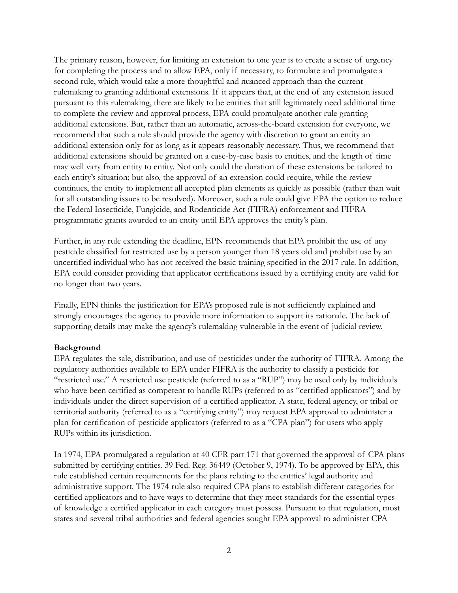The primary reason, however, for limiting an extension to one year is to create a sense of urgency for completing the process and to allow EPA, only if necessary, to formulate and promulgate a second rule, which would take a more thoughtful and nuanced approach than the current rulemaking to granting additional extensions. If it appears that, at the end of any extension issued pursuant to this rulemaking, there are likely to be entities that still legitimately need additional time to complete the review and approval process, EPA could promulgate another rule granting additional extensions. But, rather than an automatic, across-the-board extension for everyone, we recommend that such a rule should provide the agency with discretion to grant an entity an additional extension only for as long as it appears reasonably necessary. Thus, we recommend that additional extensions should be granted on a case-by-case basis to entities, and the length of time may well vary from entity to entity. Not only could the duration of these extensions be tailored to each entity's situation; but also, the approval of an extension could require, while the review continues, the entity to implement all accepted plan elements as quickly as possible (rather than wait for all outstanding issues to be resolved). Moreover, such a rule could give EPA the option to reduce the Federal Insecticide, Fungicide, and Rodenticide Act (FIFRA) enforcement and FIFRA programmatic grants awarded to an entity until EPA approves the entity's plan.

Further, in any rule extending the deadline, EPN recommends that EPA prohibit the use of any pesticide classified for restricted use by a person younger than 18 years old and prohibit use by an uncertified individual who has not received the basic training specified in the 2017 rule. In addition, EPA could consider providing that applicator certifications issued by a certifying entity are valid for no longer than two years.

Finally, EPN thinks the justification for EPA's proposed rule is not sufficiently explained and strongly encourages the agency to provide more information to support its rationale. The lack of supporting details may make the agency's rulemaking vulnerable in the event of judicial review.

#### **Background**

EPA regulates the sale, distribution, and use of pesticides under the authority of FIFRA. Among the regulatory authorities available to EPA under FIFRA is the authority to classify a pesticide for "restricted use." A restricted use pesticide (referred to as a "RUP") may be used only by individuals who have been certified as competent to handle RUPs (referred to as "certified applicators") and by individuals under the direct supervision of a certified applicator. A state, federal agency, or tribal or territorial authority (referred to as a "certifying entity") may request EPA approval to administer a plan for certification of pesticide applicators (referred to as a "CPA plan") for users who apply RUPs within its jurisdiction.

In 1974, EPA promulgated a regulation at 40 CFR part 171 that governed the approval of CPA plans submitted by certifying entities. 39 Fed. Reg. 36449 (October 9, 1974). To be approved by EPA, this rule established certain requirements for the plans relating to the entities' legal authority and administrative support. The 1974 rule also required CPA plans to establish different categories for certified applicators and to have ways to determine that they meet standards for the essential types of knowledge a certified applicator in each category must possess. Pursuant to that regulation, most states and several tribal authorities and federal agencies sought EPA approval to administer CPA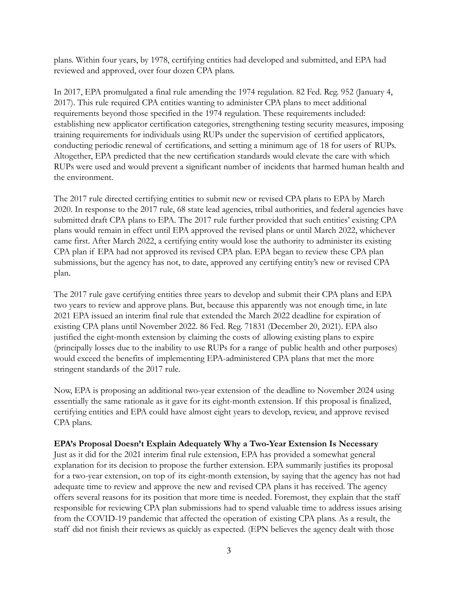plans. Within four years, by 1978, certifying entities had developed and submitted, and EPA had reviewed and approved, over four dozen CPA plans.

In 2017, EPA promulgated a final rule amending the 1974 regulation. 82 Fed. Reg. 952 (January 4, 2017). This rule required CPA entities wanting to administer CPA plans to meet additional requirements beyond those specified in the 1974 regulation. These requirements included: establishing new applicator certification categories, strengthening testing security measures, imposing training requirements for individuals using RUPs under the supervision of certified applicators, conducting periodic renewal of certifications, and setting a minimum age of 18 for users of RUPs. Altogether, EPA predicted that the new certification standards would elevate the care with which RUPs were used and would prevent a significant number of incidents that harmed human health and the environment.

The 2017 rule directed certifying entities to submit new or revised CPA plans to EPA by March 2020. In response to the 2017 rule, 68 state lead agencies, tribal authorities, and federal agencies have submitted draft CPA plans to EPA. The 2017 rule further provided that such entities' existing CPA plans would remain in effect until EPA approved the revised plans or until March 2022, whichever came first. After March 2022, a certifying entity would lose the authority to administer its existing CPA plan if EPA had not approved its revised CPA plan. EPA began to review these CPA plan submissions, but the agency has not, to date, approved any certifying entity's new or revised CPA plan.

The 2017 rule gave certifying entities three years to develop and submit their CPA plans and EPA two years to review and approve plans. But, because this apparently was not enough time, in late 2021 EPA issued an interim final rule that extended the March 2022 deadline for expiration of existing CPA plans until November 2022. 86 Fed. Reg. 71831 (December 20, 2021). EPA also justified the eight-month extension by claiming the costs of allowing existing plans to expire (principally losses due to the inability to use RUPs for a range of public health and other purposes) would exceed the benefits of implementing EPA-administered CPA plans that met the more stringent standards of the 2017 rule.

Now, EPA is proposing an additional two-year extension of the deadline to November 2024 using essentially the same rationale as it gave for its eight-month extension. If this proposal is finalized, certifying entities and EPA could have almost eight years to develop, review, and approve revised CPA plans.

#### **EPA's Proposal Doesn't Explain Adequately Why a Two-Year Extension Is Necessary**

Just as it did for the 2021 interim final rule extension, EPA has provided a somewhat general explanation for its decision to propose the further extension. EPA summarily justifies its proposal for a two-year extension, on top of its eight-month extension, by saying that the agency has not had adequate time to review and approve the new and revised CPA plans it has received. The agency offers several reasons for its position that more time is needed. Foremost, they explain that the staff responsible for reviewing CPA plan submissions had to spend valuable time to address issues arising from the COVID-19 pandemic that affected the operation of existing CPA plans. As a result, the staff did not finish their reviews as quickly as expected. (EPN believes the agency dealt with those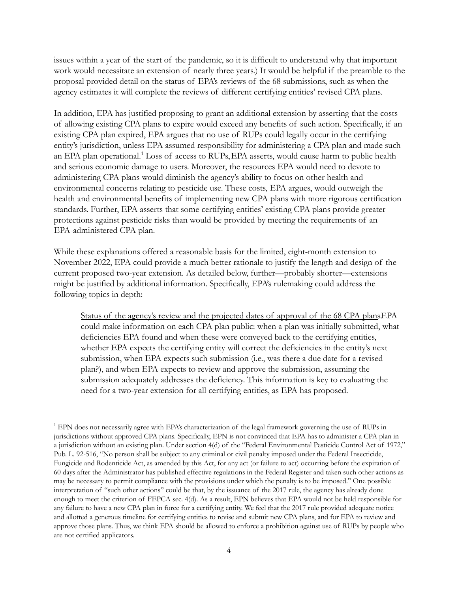issues within a year of the start of the pandemic, so it is difficult to understand why that important work would necessitate an extension of nearly three years.) It would be helpful if the preamble to the proposal provided detail on the status of EPA's reviews of the 68 submissions, such as when the agency estimates it will complete the reviews of different certifying entities' revised CPA plans.

In addition, EPA has justified proposing to grant an additional extension by asserting that the costs of allowing existing CPA plans to expire would exceed any benefits of such action. Specifically, if an existing CPA plan expired, EPA argues that no use of RUPs could legally occur in the certifying entity's jurisdiction, unless EPA assumed responsibility for administering a CPA plan and made such an EPA plan operational.<sup>1</sup> Loss of access to RUPs, EPA asserts, would cause harm to public health and serious economic damage to users. Moreover, the resources EPA would need to devote to administering CPA plans would diminish the agency's ability to focus on other health and environmental concerns relating to pesticide use. These costs, EPA argues, would outweigh the health and environmental benefits of implementing new CPA plans with more rigorous certification standards. Further, EPA asserts that some certifying entities' existing CPA plans provide greater protections against pesticide risks than would be provided by meeting the requirements of an EPA-administered CPA plan.

While these explanations offered a reasonable basis for the limited, eight-month extension to November 2022, EPA could provide a much better rationale to justify the length and design of the current proposed two-year extension. As detailed below, further—probably shorter—extensions might be justified by additional information. Specifically, EPA's rulemaking could address the following topics in depth:

Status of the agency's review and the projected dates of approval of the 68 CPA plans.EPA could make information on each CPA plan public: when a plan was initially submitted, what deficiencies EPA found and when these were conveyed back to the certifying entities, whether EPA expects the certifying entity will correct the deficiencies in the entity's next submission, when EPA expects such submission (i.e., was there a due date for a revised plan?), and when EPA expects to review and approve the submission, assuming the submission adequately addresses the deficiency. This information is key to evaluating the need for a two-year extension for all certifying entities, as EPA has proposed.

<sup>&</sup>lt;sup>1</sup> EPN does not necessarily agree with EPA's characterization of the legal framework governing the use of RUPs in jurisdictions without approved CPA plans. Specifically, EPN is not convinced that EPA has to administer a CPA plan in a jurisdiction without an existing plan. Under section 4(d) of the "Federal Environmental Pesticide Control Act of 1972," Pub. L. 92-516, "No person shall be subject to any criminal or civil penalty imposed under the Federal Insecticide, Fungicide and Rodenticide Act, as amended by this Act, for any act (or failure to act) occurring before the expiration of 60 days after the Administrator has published effective regulations in the Federal Register and taken such other actions as may be necessary to permit compliance with the provisions under which the penalty is to be imposed." One possible interpretation of "such other actions" could be that, by the issuance of the 2017 rule, the agency has already done enough to meet the criterion of FEPCA sec. 4(d). As a result, EPN believes that EPA would not be held responsible for any failure to have a new CPA plan in force for a certifying entity. We feel that the 2017 rule provided adequate notice and allotted a generous timeline for certifying entities to revise and submit new CPA plans, and for EPA to review and approve those plans. Thus, we think EPA should be allowed to enforce a prohibition against use of RUPs by people who are not certified applicators.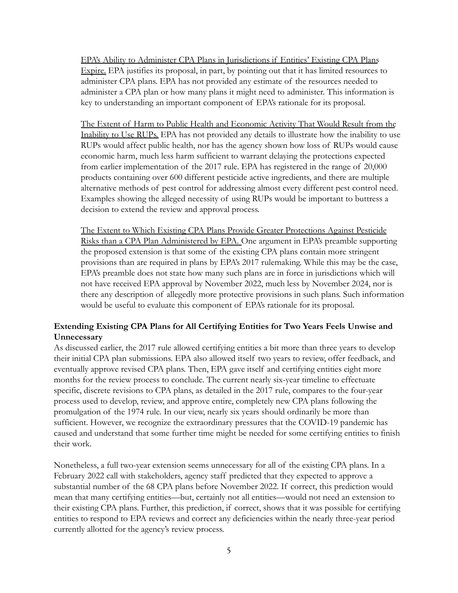EPA's Ability to Administer CPA Plans in Jurisdictions if Entities' Existing CPA Plans Expire. EPA justifies its proposal, in part, by pointing out that it has limited resources to administer CPA plans. EPA has not provided any estimate of the resources needed to administer a CPA plan or how many plans it might need to administer. This information is key to understanding an important component of EPA's rationale for its proposal.

The Extent of Harm to Public Health and Economic Activity That Would Result from the Inability to Use RUPs. EPA has not provided any details to illustrate how the inability to use RUPs would affect public health, nor has the agency shown how loss of RUPs would cause economic harm, much less harm sufficient to warrant delaying the protections expected from earlier implementation of the 2017 rule. EPA has registered in the range of 20,000 products containing over 600 different pesticide active ingredients, and there are multiple alternative methods of pest control for addressing almost every different pest control need. Examples showing the alleged necessity of using RUPs would be important to buttress a decision to extend the review and approval process.

The Extent to Which Existing CPA Plans Provide Greater Protections Against Pesticide Risks than a CPA Plan Administered by EPA. One argument in EPA's preamble supporting the proposed extension is that some of the existing CPA plans contain more stringent provisions than are required in plans by EPA's 2017 rulemaking. While this may be the case, EPA's preamble does not state how many such plans are in force in jurisdictions which will not have received EPA approval by November 2022, much less by November 2024, nor is there any description of allegedly more protective provisions in such plans. Such information would be useful to evaluate this component of EPA's rationale for its proposal.

## **Extending Existing CPA Plans for All Certifying Entities for Two Years Feels Unwise and Unnecessary**

As discussed earlier, the 2017 rule allowed certifying entities a bit more than three years to develop their initial CPA plan submissions. EPA also allowed itself two years to review, offer feedback, and eventually approve revised CPA plans. Then, EPA gave itself and certifying entities eight more months for the review process to conclude. The current nearly six-year timeline to effectuate specific, discrete revisions to CPA plans, as detailed in the 2017 rule, compares to the four-year process used to develop, review, and approve entire, completely new CPA plans following the promulgation of the 1974 rule. In our view, nearly six years should ordinarily be more than sufficient. However, we recognize the extraordinary pressures that the COVID-19 pandemic has caused and understand that some further time might be needed for some certifying entities to finish their work.

Nonetheless, a full two-year extension seems unnecessary for all of the existing CPA plans. In a February 2022 call with stakeholders, agency staff predicted that they expected to approve a substantial number of the 68 CPA plans before November 2022. If correct, this prediction would mean that many certifying entities—but, certainly not all entities—would not need an extension to their existing CPA plans. Further, this prediction, if correct, shows that it was possible for certifying entities to respond to EPA reviews and correct any deficiencies within the nearly three-year period currently allotted for the agency's review process.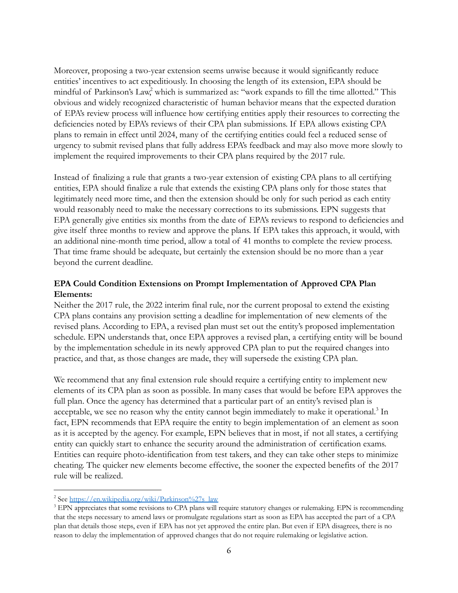Moreover, proposing a two-year extension seems unwise because it would significantly reduce entities' incentives to act expeditiously. In choosing the length of its extension, EPA should be mindful of Parkinson's Law, which is summarized as: "work expands to fill the time allotted." This obvious and widely recognized characteristic of human behavior means that the expected duration of EPA's review process will influence how certifying entities apply their resources to correcting the deficiencies noted by EPA's reviews of their CPA plan submissions. If EPA allows existing CPA plans to remain in effect until 2024, many of the certifying entities could feel a reduced sense of urgency to submit revised plans that fully address EPA's feedback and may also move more slowly to implement the required improvements to their CPA plans required by the 2017 rule.

Instead of finalizing a rule that grants a two-year extension of existing CPA plans to all certifying entities, EPA should finalize a rule that extends the existing CPA plans only for those states that legitimately need more time, and then the extension should be only for such period as each entity would reasonably need to make the necessary corrections to its submissions. EPN suggests that EPA generally give entities six months from the date of EPA's reviews to respond to deficiencies and give itself three months to review and approve the plans. If EPA takes this approach, it would, with an additional nine-month time period, allow a total of 41 months to complete the review process. That time frame should be adequate, but certainly the extension should be no more than a year beyond the current deadline.

## **EPA Could Condition Extensions on Prompt Implementation of Approved CPA Plan Elements:**

Neither the 2017 rule, the 2022 interim final rule, nor the current proposal to extend the existing CPA plans contains any provision setting a deadline for implementation of new elements of the revised plans. According to EPA, a revised plan must set out the entity's proposed implementation schedule. EPN understands that, once EPA approves a revised plan, a certifying entity will be bound by the implementation schedule in its newly approved CPA plan to put the required changes into practice, and that, as those changes are made, they will supersede the existing CPA plan.

We recommend that any final extension rule should require a certifying entity to implement new elements of its CPA plan as soon as possible. In many cases that would be before EPA approves the full plan. Once the agency has determined that a particular part of an entity's revised plan is acceptable, we see no reason why the entity cannot begin immediately to make it operational.<sup>3</sup> In fact, EPN recommends that EPA require the entity to begin implementation of an element as soon as it is accepted by the agency. For example, EPN believes that in most, if not all states, a certifying entity can quickly start to enhance the security around the administration of certification exams. Entities can require photo-identification from test takers, and they can take other steps to minimize cheating. The quicker new elements become effective, the sooner the expected benefits of the 2017 rule will be realized.

<sup>&</sup>lt;sup>2</sup> See [https://en.wikipedia.org/wiki/Parkinson%27s\\_law](https://en.wikipedia.org/wiki/Parkinson%27s_law)

<sup>&</sup>lt;sup>3</sup> EPN appreciates that some revisions to CPA plans will require statutory changes or rulemaking. EPN is recommending that the steps necessary to amend laws or promulgate regulations start as soon as EPA has accepted the part of a CPA plan that details those steps, even if EPA has not yet approved the entire plan. But even if EPA disagrees, there is no reason to delay the implementation of approved changes that do not require rulemaking or legislative action.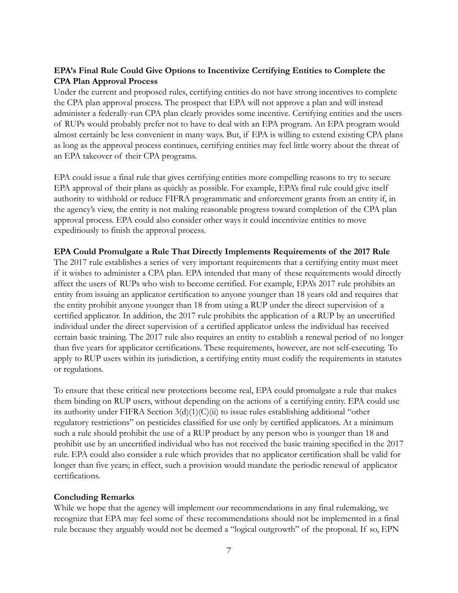# **EPA's Final Rule Could Give Options to Incentivize Certifying Entities to Complete the CPA Plan Approval Process**

Under the current and proposed rules, certifying entities do not have strong incentives to complete the CPA plan approval process. The prospect that EPA will not approve a plan and will instead administer a federally-run CPA plan clearly provides some incentive. Certifying entities and the users of RUPs would probably prefer not to have to deal with an EPA program. An EPA program would almost certainly be less convenient in many ways. But, if EPA is willing to extend existing CPA plans as long as the approval process continues, certifying entities may feel little worry about the threat of an EPA takeover of their CPA programs.

EPA could issue a final rule that gives certifying entities more compelling reasons to try to secure EPA approval of their plans as quickly as possible. For example, EPA's final rule could give itself authority to withhold or reduce FIFRA programmatic and enforcement grants from an entity if, in the agency's view, the entity is not making reasonable progress toward completion of the CPA plan approval process. EPA could also consider other ways it could incentivize entities to move expeditiously to finish the approval process.

### **EPA Could Promulgate a Rule That Directly Implements Requirements of the 2017 Rule**

The 2017 rule establishes a series of very important requirements that a certifying entity must meet if it wishes to administer a CPA plan. EPA intended that many of these requirements would directly affect the users of RUPs who wish to become certified. For example, EPA's 2017 rule prohibits an entity from issuing an applicator certification to anyone younger than 18 years old and requires that the entity prohibit anyone younger than 18 from using a RUP under the direct supervision of a certified applicator. In addition, the 2017 rule prohibits the application of a RUP by an uncertified individual under the direct supervision of a certified applicator unless the individual has received certain basic training. The 2017 rule also requires an entity to establish a renewal period of no longer than five years for applicator certifications. These requirements, however, are not self-executing. To apply to RUP users within its jurisdiction, a certifying entity must codify the requirements in statutes or regulations.

To ensure that these critical new protections become real, EPA could promulgate a rule that makes them binding on RUP users, without depending on the actions of a certifying entity. EPA could use its authority under FIFRA Section 3(d)(1)(C)(ii) to issue rules establishing additional "other regulatory restrictions" on pesticides classified for use only by certified applicators. At a minimum such a rule should prohibit the use of a RUP product by any person who is younger than 18 and prohibit use by an uncertified individual who has not received the basic training specified in the 2017 rule. EPA could also consider a rule which provides that no applicator certification shall be valid for longer than five years; in effect, such a provision would mandate the periodic renewal of applicator certifications.

#### **Concluding Remarks**

While we hope that the agency will implement our recommendations in any final rulemaking, we recognize that EPA may feel some of these recommendations should not be implemented in a final rule because they arguably would not be deemed a "logical outgrowth" of the proposal. If so, EPN